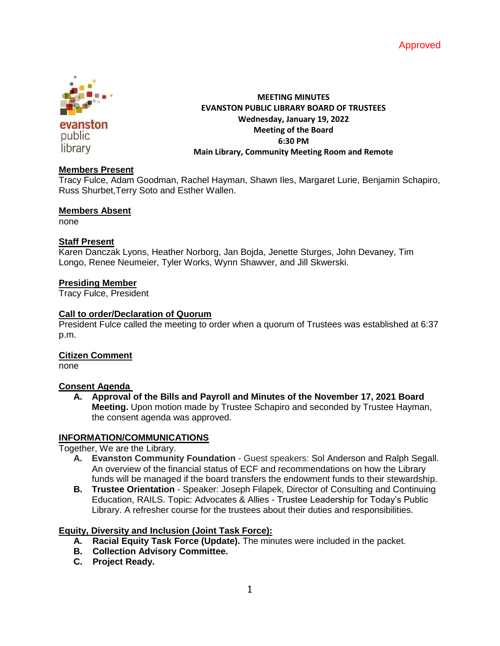



evanston public library

# **MEETING MINUTES EVANSTON PUBLIC LIBRARY BOARD OF TRUSTEES Wednesday, January 19, 2022 Meeting of the Board 6:30 PM Main Library, Community Meeting Room and Remote**

#### **Members Present**

Tracy Fulce, Adam Goodman, Rachel Hayman, Shawn Iles, Margaret Lurie, Benjamin Schapiro, Russ Shurbet,Terry Soto and Esther Wallen.

#### **Members Absent**

none

## **Staff Present**

Karen Danczak Lyons, Heather Norborg, Jan Bojda, Jenette Sturges, John Devaney, Tim Longo, Renee Neumeier, Tyler Works, Wynn Shawver, and Jill Skwerski.

## **Presiding Member**

Tracy Fulce, President

## **Call to order/Declaration of Quorum**

President Fulce called the meeting to order when a quorum of Trustees was established at 6:37 p.m.

### **Citizen Comment**

none

#### **Consent Agenda**

**A. Approval of the Bills and Payroll and Minutes of the November 17, 2021 Board Meeting.** Upon motion made by Trustee Schapiro and seconded by Trustee Hayman, the consent agenda was approved.

# **INFORMATION/COMMUNICATIONS**

Together, We are the Library.

- **A. Evanston Community Foundation** Guest speakers: Sol Anderson and Ralph Segall. An overview of the financial status of ECF and recommendations on how the Library funds will be managed if the board transfers the endowment funds to their stewardship.
- **B. Trustee Orientation**  Speaker: Joseph Filapek, Director of Consulting and Continuing Education, RAILS. Topic: Advocates & Allies - Trustee Leadership for Today's Public Library. A refresher course for the trustees about their duties and responsibilities.

# **Equity, Diversity and Inclusion (Joint Task Force):**

- **A. Racial Equity Task Force (Update).** The minutes were included in the packet.
- **B. Collection Advisory Committee.**
- **C. Project Ready.**